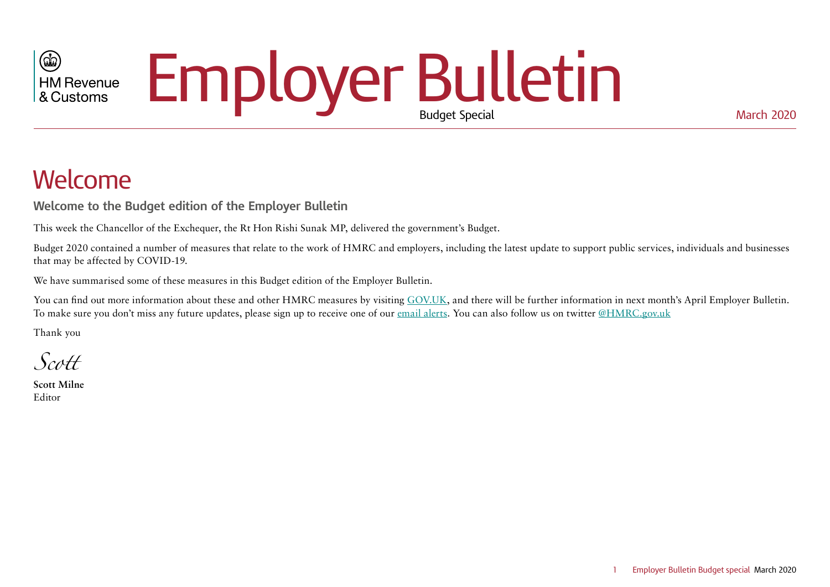# Employer Bulletin  $\circledR$ **HM Revenue** & Customs

# Welcome

**Welcome to the Budget edition of the Employer Bulletin**

This week the Chancellor of the Exchequer, the Rt Hon Rishi Sunak MP, delivered the government's Budget.

Budget 2020 contained a number of measures that relate to the work of HMRC and employers, including the latest update to support public services, individuals and businesses that may be affected by COVID-19.

We have summarised some of these measures in this Budget edition of the Employer Bulletin.

You can find out more information about these and other HMRC measures by visiting [GOV.UK](https://www.gov.uk/government/collections/budget-2020-tax-related-documents), and there will be further information in next month's April Employer Bulletin. To make sure you don't miss any future updates, please sign up to receive one of our [email alerts.](https://public.govdelivery.com/accounts/UKHMRCED/subscriber/new?preferences=true) You can also follow us on twitter [@HMRC.gov.uk](https://twitter.com/hmrcgovuk?lang=en)

Thank you

*Scott*

**Scott Milne** Editor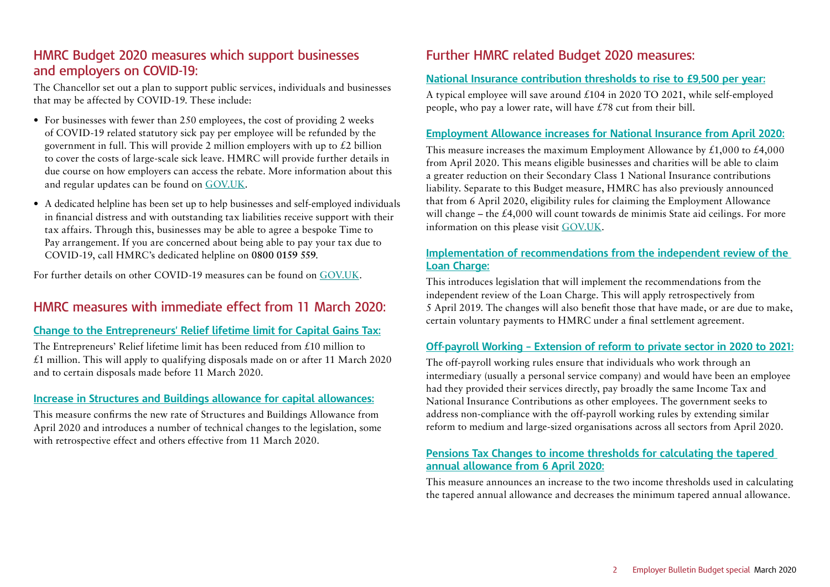### **HMRC Budget 2020 measures which support businesses and employers on COVID-19:**

The Chancellor set out a plan to support public services, individuals and businesses that may be affected by COVID-19. These include:

- For businesses with fewer than 250 employees, the cost of providing 2 weeks of COVID-19 related statutory sick pay per employee will be refunded by the government in full. This will provide 2 million employers with up to  $\mathcal{L}2$  billion to cover the costs of large-scale sick leave. HMRC will provide further details in due course on how employers can access the rebate. More information about this and regular updates can be found on [GOV.UK](https://www.gov.uk/government/news/coronavirus-covid-19-guidance-for-employees-employers-and-businesses).
- A dedicated helpline has been set up to help businesses and self-employed individuals in financial distress and with outstanding tax liabilities receive support with their tax affairs. Through this, businesses may be able to agree a bespoke Time to Pay arrangement. If you are concerned about being able to pay your tax due to COVID-19, call HMRC's dedicated helpline on **0800 0159 559**.

For further details on other COVID-19 measures can be found on [GOV.UK](https://www.gov.uk/government/news/coronavirus-covid-19-guidance-for-employees-employers-and-businesses).

# **HMRC measures with immediate effect from 11 March 2020:**

#### **[Change to the Entrepreneurs' Relief lifetime limit for Capital Gains Tax:](https://www.gov.uk/government/publications/change-to-the-entrepreneurs-relief-lifetime-limit-for-capital-gains-tax)**

The Entrepreneurs' Relief lifetime limit has been reduced from £10 million to  $£1$  million. This will apply to qualifying disposals made on or after 11 March 2020 and to certain disposals made before 11 March 2020.

#### **[Increase in Structures and Buildings allowance for capital allowances:](https://www.gov.uk/government/publications/increase-in-structures-and-buildings-allowance-for-capital-allowances)**

This measure confirms the new rate of Structures and Buildings Allowance from April 2020 and introduces a number of technical changes to the legislation, some with retrospective effect and others effective from 11 March 2020.

# **Further HMRC related Budget 2020 measures:**

#### **[National Insurance contribution thresholds to rise to £9,500 per year:](https://www.gov.uk/government/news/31-million-taxpayers-to-get-april-tax-cut)**

A typical employee will save around £104 in 2020 TO 2021, while self-employed people, who pay a lower rate, will have £78 cut from their bill.

#### **[Employment Allowance increases for National Insurance from April 2020:](https://www.gov.uk/government/publications/employment-allowance-increases-for-national-insurance-from-april-2020)**

This measure increases the maximum Employment Allowance by  $\text{\pounds}1,000$  to  $\text{\pounds}4,000$ from April 2020. This means eligible businesses and charities will be able to claim a greater reduction on their Secondary Class 1 National Insurance contributions liability. Separate to this Budget measure, HMRC has also previously announced that from 6 April 2020, eligibility rules for claiming the Employment Allowance will change – the £4,000 will count towards de minimis State aid ceilings. For more information on this please visit [GOV.UK](https://www.gov.uk/guidance/changes-to-employment-allowance).

#### **[Implementation of recommendations from the independent review of the](https://www.gov.uk/government/publications/implementation-of-recommendations-from-the-independent-review-of-the-loan-charge/implementation-of-recommendations-from-the-independent-review-of-the-loan-charge)  [Loan Charge:](https://www.gov.uk/government/publications/implementation-of-recommendations-from-the-independent-review-of-the-loan-charge/implementation-of-recommendations-from-the-independent-review-of-the-loan-charge)**

This introduces legislation that will implement the recommendations from the independent review of the Loan Charge. This will apply retrospectively from 5 April 2019. The changes will also benefit those that have made, or are due to make, certain voluntary payments to HMRC under a final settlement agreement.

#### **[Off-payroll Working – Extension of reform to private sector in 2020 to 2021:](https://www.gov.uk/government/publications/rules-for-off-payroll-working-from-april-2020)**

The off-payroll working rules ensure that individuals who work through an intermediary (usually a personal service company) and would have been an employee had they provided their services directly, pay broadly the same Income Tax and National Insurance Contributions as other employees. The government seeks to address non-compliance with the off-payroll working rules by extending similar reform to medium and large-sized organisations across all sectors from April 2020.

#### **[Pensions Tax Changes to income thresholds for calculating the tapered](https://www.gov.uk/government/publications/pensions-tax-changes-to-income-thresholds-for-calculating-the-tapered-annual-allowance-from-6-april-2020)  [annual allowance from 6 April 2020:](https://www.gov.uk/government/publications/pensions-tax-changes-to-income-thresholds-for-calculating-the-tapered-annual-allowance-from-6-april-2020)**

This measure announces an increase to the two income thresholds used in calculating the tapered annual allowance and decreases the minimum tapered annual allowance.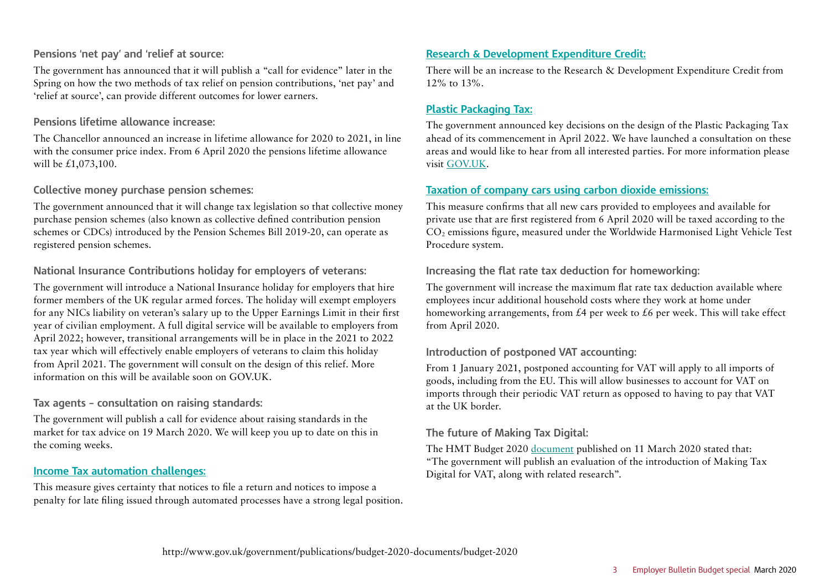#### **Pensions 'net pay' and 'relief at source:**

The government has announced that it will publish a "call for evidence" later in the Spring on how the two methods of tax relief on pension contributions, 'net pay' and 'relief at source', can provide different outcomes for lower earners.

#### **Pensions lifetime allowance increase:**

The Chancellor announced an increase in lifetime allowance for 2020 to 2021, in line with the consumer price index. From 6 April 2020 the pensions lifetime allowance will be £1,073,100.

#### **Collective money purchase pension schemes:**

The government announced that it will change tax legislation so that collective money purchase pension schemes (also known as collective defined contribution pension schemes or CDCs) introduced by the Pension Schemes Bill 2019-20, can operate as registered pension schemes.

#### **National Insurance Contributions holiday for employers of veterans:**

The government will introduce a National Insurance holiday for employers that hire former members of the UK regular armed forces. The holiday will exempt employers for any NICs liability on veteran's salary up to the Upper Earnings Limit in their first year of civilian employment. A full digital service will be available to employers from April 2022; however, transitional arrangements will be in place in the 2021 to 2022 tax year which will effectively enable employers of veterans to claim this holiday from April 2021. The government will consult on the design of this relief. More information on this will be available soon on GOV.UK.

#### **Tax agents – consultation on raising standards:**

The government will publish a call for evidence about raising standards in the market for tax advice on 19 March 2020. We will keep you up to date on this in the coming weeks.

#### **[Income Tax automation challenges:](https://www.gov.uk/government/publications/income-tax-automation-challenges)**

This measure gives certainty that notices to file a return and notices to impose a penalty for late filing issued through automated processes have a strong legal position.

#### **[Research & Development Expenditure Credit:](https://www.gov.uk/government/publications/change-to-the-rate-of-research-and-development-expenditure-credit-for-corporation-tax)**

There will be an increase to the Research & Development Expenditure Credit from 12% to 13%.

#### **[Plastic Packaging Tax:](https://www.gov.uk/government/publications/introduction-of-plastic-packaging-tax)**

The government announced key decisions on the design of the Plastic Packaging Tax ahead of its commencement in April 2022. We have launched a consultation on these areas and would like to hear from all interested parties. For more information please visit [GOV.UK](https://www.gov.uk/government/consultations/plastic-packaging-tax-policy-design).

#### **[Taxation of company cars using carbon dioxide emissions:](https://www.gov.uk/government/publications/taxation-of-company-cars-using-carbon-dioxide-emissions)**

This measure confirms that all new cars provided to employees and available for private use that are first registered from 6 April 2020 will be taxed according to the CO2 emissions figure, measured under the Worldwide Harmonised Light Vehicle Test Procedure system.

#### **Increasing the flat rate tax deduction for homeworking:**

The government will increase the maximum flat rate tax deduction available where employees incur additional household costs where they work at home under homeworking arrangements, from  $\mathcal{E}4$  per week to  $\mathcal{E}6$  per week. This will take effect from April 2020.

#### **Introduction of postponed VAT accounting:**

From 1 January 2021, postponed accounting for VAT will apply to all imports of goods, including from the EU. This will allow businesses to account for VAT on imports through their periodic VAT return as opposed to having to pay that VAT at the UK border.

#### **The future of Making Tax Digital:**

The HMT Budget 2020 [document](http://www.gov.uk/government/publications/budget-2020-documents/budget-2020) published on 11 March 2020 stated that: "The government will publish an evaluation of the introduction of Making Tax Digital for VAT, along with related research".